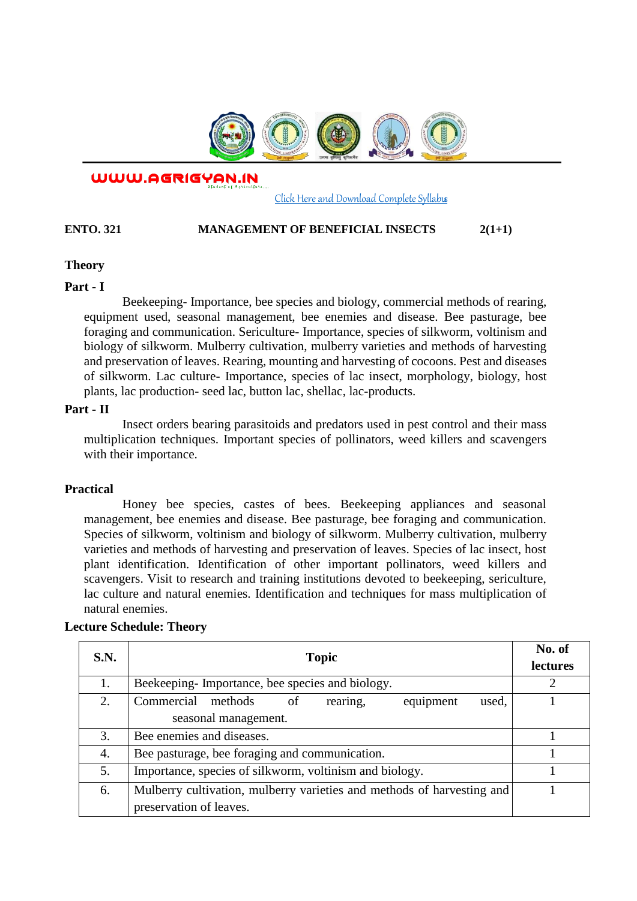

WWW.AGRIGYAN.IN

#### [Click Here and Download Complete Syllabus](http://agrigyan.in/)

#### **ENTO. 321 MANAGEMENT OF BENEFICIAL INSECTS**  $2(1+1)$

## **Theory**

 $\overline{a}$ 

### **Part - I**

Beekeeping- Importance, bee species and biology, commercial methods of rearing, equipment used, seasonal management, bee enemies and disease. Bee pasturage, bee foraging and communication. Sericulture- Importance, species of silkworm, voltinism and biology of silkworm. Mulberry cultivation, mulberry varieties and methods of harvesting and preservation of leaves. Rearing, mounting and harvesting of cocoons. Pest and diseases of silkworm. Lac culture- Importance, species of lac insect, morphology, biology, host plants, lac production- seed lac, button lac, shellac, lac-products.

## **Part - II**

Insect orders bearing parasitoids and predators used in pest control and their mass multiplication techniques. Important species of pollinators, weed killers and scavengers with their importance.

#### **Practical**

Honey bee species, castes of bees. Beekeeping appliances and seasonal management, bee enemies and disease. Bee pasturage, bee foraging and communication. Species of silkworm, voltinism and biology of silkworm. Mulberry cultivation, mulberry varieties and methods of harvesting and preservation of leaves. Species of lac insect, host plant identification. Identification of other important pollinators, weed killers and scavengers. Visit to research and training institutions devoted to beekeeping, sericulture, lac culture and natural enemies. Identification and techniques for mass multiplication of natural enemies.

| S.N. | <b>Topic</b>                                                           | No. of<br>lectures |
|------|------------------------------------------------------------------------|--------------------|
| 1.   | Beekeeping-Importance, bee species and biology.                        | 2                  |
| 2.   | rearing,<br>Commercial methods<br>equipment<br>used,<br>of             |                    |
|      | seasonal management.                                                   |                    |
| 3.   | Bee enemies and diseases.                                              |                    |
| 4.   | Bee pasturage, bee foraging and communication.                         |                    |
| 5.   | Importance, species of silkworm, voltinism and biology.                |                    |
| 6.   | Mulberry cultivation, mulberry varieties and methods of harvesting and |                    |
|      | preservation of leaves.                                                |                    |

## **Lecture Schedule: Theory**